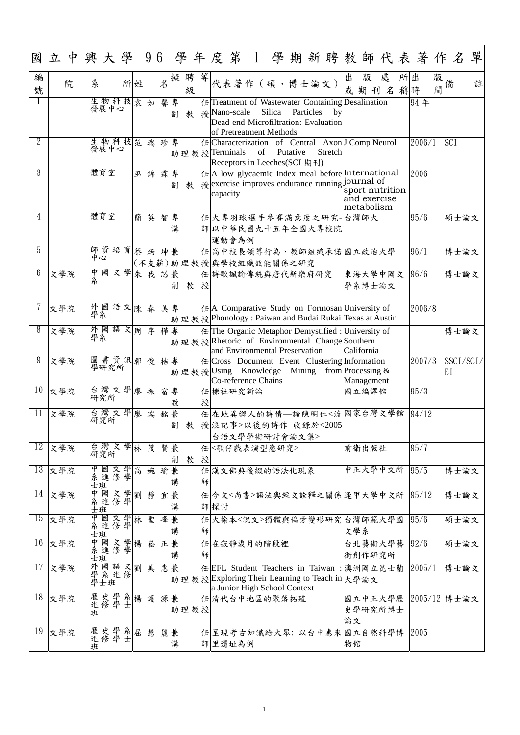| 國              | 立中興大學 96 學年度第1 學期新聘教師代表著作名單  |                |                         |      |   |    |     |        |   |   |          |                                                |    |        |          |           |                                                                                                            |     |                                               |   |    |        |        |                      |   |
|----------------|------------------------------|----------------|-------------------------|------|---|----|-----|--------|---|---|----------|------------------------------------------------|----|--------|----------|-----------|------------------------------------------------------------------------------------------------------------|-----|-----------------------------------------------|---|----|--------|--------|----------------------|---|
| 編<br>號         | 院                            | 糸              |                         | 所姓   |   |    | 名   | 擬聘     | 級 | 等 |          | 代表著作 (碩、博士論文)                                  |    |        |          |           |                                                                                                            | 出   | 版<br>或期刊名稱時                                   | 處 | 所出 |        | 版<br>間 |                      | 註 |
|                |                              | 發展中心           | 生物科技表如                  |      |   |    | 馨   | 專<br>副 | 教 |   |          | 授Nano-scale<br>of Pretreatment Methods         |    | Silica |          | Particles | 任 Treatment of Wastewater Containing Desalination<br>by<br>Dead-end Microfiltration: Evaluation            |     |                                               |   |    | 94年    |        |                      |   |
| $\overline{2}$ |                              | 發展中心           | 生物科技范瑞珍                 |      |   |    |     | 專      |   |   |          | 助理教授 Terminals<br>Receptors in Leeches(SCI 期刊) | of |        | Putative |           | 任 Characterization of Central Axon J Comp Neurol<br>Stretch                                                |     |                                               |   |    | 2006/1 |        | <b>SCI</b>           |   |
| 3              |                              | 體育室            |                         |      | 巫 | 錦  | 霖   | 專<br>副 | 教 |   | capacity |                                                |    |        |          |           | $\#$  A low glycaemic index meal before International<br>授exercise improves endurance running journal of   |     | sport nutrition<br>and exercise<br>metabolism |   |    | 2006   |        |                      |   |
| 4              |                              | 體育室            |                         |      | 簡 | 英  | 智   | 專<br>講 |   |   |          | 運動會為例                                          |    |        |          |           | 任 大專羽球選手參賽滿意度之研究-台灣師大<br>師以中華民國九十五年全國大專校院                                                                  |     |                                               |   |    | 95/6   |        | 碩士論文                 |   |
| 5              |                              | 中心             | 師資培育                    |      | 蔡 | 炳  | 坤兼  |        |   |   |          | (不支薪) 助 理 教 授 與學校組織效能關係之研究                     |    |        |          |           | 任高中校長領導行為、教師組織承諾國立政治大學                                                                                     |     |                                               |   |    | 96/1   |        | 博士論文                 |   |
| 6              | 文學院                          |                | 中國文學<br>系               |      |   |    | 朱我芯 | 兼<br>副 | 教 | 授 |          | 任 詩歌諷諭傳統與唐代新樂府研究                               |    |        |          |           |                                                                                                            |     | 東海大學中國文<br>學系博士論文                             |   |    | 96/6   |        | 博士論文                 |   |
|                | 文學院                          | 外國             |                         | 語文陳春 |   |    | 美   | 專      |   |   |          |                                                |    |        |          |           | 任  A Comparative Study on Formosan  University of<br>助理教授Phonology: Paiwan and Budai Rukai Texas at Austin |     |                                               |   |    | 2006/8 |        |                      |   |
| 8              | 文學院                          | 外國語文           |                         |      |   | 周序 | 樺專  |        |   |   |          | and Environmental Preservation                 |    |        |          |           | 任 The Organic Metaphor Demystified : University of<br>助理教授Rhetoric of Environmental Change Southern        |     | California                                    |   |    |        |        | 博士論文                 |   |
| 9              | 文學院                          | 圖書資訊郭俊<br>學研究所 |                         |      |   |    | 桔專  |        |   |   |          | Co-reference Chains                            |    |        |          |           | 任 Cross Document Event Clustering Information<br>助理教授 Using Knowledge Mining from Processing &             |     | Management                                    |   |    | 2007/3 |        | SSCI/SCI/<br>EI      |   |
| 10             | 文學院                          | 研究所            | 台灣文學                    |      | 廖 | 振  | 富   | 專<br>教 |   | 授 |          | 任機社研究新論                                        |    |        |          |           |                                                                                                            |     | 國立編譯館                                         |   |    | 95/3   |        |                      |   |
| 11             | 文學院                          | 台灣文學廖瑞<br>研究所  |                         |      |   |    | 銘   | 兼<br>副 | 教 |   |          | 台語文學學術研討會論文集>                                  |    |        |          |           | 任在地異鄉人的詩情—論陳明仁<流國家台灣文學館<br>授 浪記事>以後的詩作 收錄於<2005                                                            |     |                                               |   |    | 94/12  |        |                      |   |
| 12             | 文學院                          | 研究所            | 台灣文學                    |      |   | 林茂 | 賢   | 兼<br>副 | 教 | 授 |          | 任 < 歌仔戲表演型態研究>                                 |    |        |          |           |                                                                                                            |     | 前衛出版社                                         |   |    | 95/7   |        |                      |   |
| 13             | 文學院                          |                | 中國文學高 婉 瑜<br>系進修學<br>士班 |      |   |    |     | 兼<br>講 |   | 師 |          | 任漢文佛典後綴的語法化現象                                  |    |        |          |           |                                                                                                            |     | 中正大學中文所                                       |   |    | 95/5   |        | 博士論文                 |   |
|                | $14$ 文學院                     | 中<br>糸<br>士班   | 國文學劉                    |      |   | 靜  | 宜   | 兼<br>講 |   |   | 師探討      |                                                |    |        |          |           | 任 今文<尚書>語法與經文詮釋之關係 逢甲大學中文所                                                                                 |     |                                               |   |    | 95/12  |        | 博士論文                 |   |
| 15             | 文學院                          | 中系<br>士班       | 國文學林 聖                  |      |   |    | 峰   | 兼<br>講 |   | 師 |          |                                                |    |        |          |           | 任 大徐本<說文>獨體與偏旁變形研究 台灣師範大學國                                                                                 | 文學系 |                                               |   |    | 95/6   |        | 碩士論文                 |   |
| 16             | 文學院                          |                | 中國文學楊 崧<br>系進修學<br>士班   |      |   |    | 正   | 兼<br>講 |   | 師 |          | 任在寂靜歲月的階段裡                                     |    |        |          |           |                                                                                                            |     | 台北藝術大學藝<br>術創作研究所                             |   |    | 92/6   |        | 碩士論文                 |   |
| 17             | 文學院                          | 外<br>學系<br>學士班 | 國語文劉美                   |      |   |    | 惠   | 兼      |   |   |          | a Junior High School Context                   |    |        |          |           | 任EFL Student Teachers in Taiwan : 澳洲國立昆士蘭<br>助理教授Exploring Their Learning to Teach in 大學論文                 |     |                                               |   |    | 2005/1 |        | 博士論文                 |   |
|                | $\overline{\mathrm{18}}$ 文學院 | 歷史學系楊護源兼<br>班  |                         |      |   |    |     | 助理教授   |   |   |          | 任 清代台中地區的聚落拓殖                                  |    |        |          |           |                                                                                                            | 論文  | 史學研究所博士                                       |   |    |        |        | 國立中正大學歷 2005/12 博士論文 |   |
| 19             | 文學院                          | 歷史學系屈慧<br>班    |                         |      |   |    | 麗兼  | 講      |   |   |          | 師里遺址為例                                         |    |        |          |           | 任 呈現考古知識給大眾: 以台中惠來 國立自然科學博                                                                                 | 物館  |                                               |   |    | 2005   |        |                      |   |

1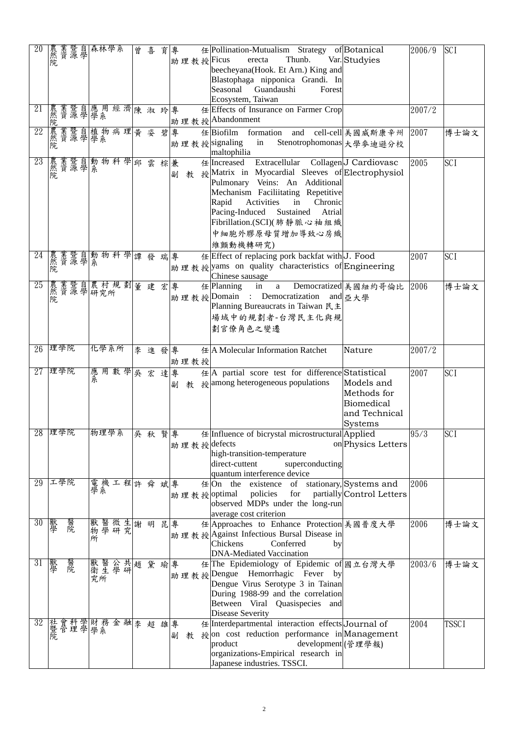| 20     | 晨然院 | <b>茉暨自</b> |    |   | 森林學系 |  | 曾                    | 喜                                                    | 育  | 專  |      | 任 Pollination-Mutualism Strategy of Botanical<br>Thunb.<br>Var. Studyies<br> 助理教授 Ficus<br>erecta<br>beecheyana(Hook. Et Arn.) King and<br>Blastophaga nipponica Grandi. In<br>Seasonal Guandaushi<br>Forest                                                                                                              | 2006/9 | <b>SCI</b>   |
|--------|-----|------------|----|---|------|--|----------------------|------------------------------------------------------|----|----|------|---------------------------------------------------------------------------------------------------------------------------------------------------------------------------------------------------------------------------------------------------------------------------------------------------------------------------|--------|--------------|
| 21     |     |            |    |   |      |  |                      | 農業暨自應用經濟陳淑玲專<br>然資源學學系 助                             |    |    |      | Ecosystem, Taiwan<br>任 Effects of Insurance on Farmer Crop<br> 助理教授   Abandonment                                                                                                                                                                                                                                         | 2007/2 |              |
| 22     |     |            |    |   |      |  | 農業暨自植物病理黄姿<br>然資源學學系 |                                                      |    | 碧專 |      | 任 Biofilm formation and cell-cell 美國威斯康辛州<br> 助理教授 signaling<br>in<br>Stenotrophomonas 大學參迪遜分校<br>maltophilia                                                                                                                                                                                                             | 2007   | 博士論文         |
| 23     | 農然院 |            |    |   |      |  |                      | 業暨自動物科學邱 雲<br>資源學系                                   | 棕兼 | 副  |      | 任 Increased Extracellular Collagen J Cardiovasc<br>教 授Matrix in Myocardial Sleeves of Electrophysiol<br>Pulmonary Veins: An Additional<br>Mechanism Faciliitating Repetitive<br>Chronic<br>Rapid<br>Activities<br>in<br>Sustained Atrial<br>Pacing-Induced<br> Fibrillation.(SCI)(肺靜脈心袖組織 <br>中細胞外膠原母質增加導致心房織<br>維顫動機轉研究) | 2005   | <b>SCI</b>   |
| 24     |     |            |    |   |      |  |                      | 農業暨自動物科學譚發<br>然資源學系                                  | 瑞專 |    |      | 任 Effect of replacing pork backfat with J. Food<br> 助理教授 yams on quality characteristics of Engineering<br>Chinese sausage                                                                                                                                                                                                | 2007   | <b>SCI</b>   |
| 25     |     |            |    |   |      |  |                      | 農業暨自農村規劃  董建宏事<br> 然資源學研究所                    <br> 院 |    |    |      | 任 Planning in a Democratized 美國紐約哥倫比<br> 助理教授  Domain : Democratization and 品大學<br>Planning Bureaucrats in Taiwan 民主<br> 場域中的規劃者-台灣民主化與規<br>劃官僚角色之變遷                                                                                                                                                                      | 2006   | 博士論文         |
| 26 理學院 |     |            |    |   | 化學系所 |  |                      | 李進發專                                                 |    |    | 助理教授 | 任 A Molecular Information Ratchet<br>Nature                                                                                                                                                                                                                                                                               | 2007/2 |              |
| 27     |     | 理學院        |    |   |      |  |                      | 應用數學吳宏達專                                             |    | 副  |      | 任  A partial score test for difference Statistical<br>教 授among heterogeneous populations<br>Models and<br>Methods for<br><b>Biomedical</b><br>and Technical<br><b>Systems</b>                                                                                                                                             | 2007   | <b>SCI</b>   |
| 28     |     | 理學院        |    |   | 物理學系 |  |                      | 吳 秋                                                  |    | 賢專 |      | 任 Influence of bicrystal microstructural Applied<br>助理教授 defects<br>on Physics Letters<br>high-transition-temperature<br>direct-cuttent<br>superconducting<br>quantum interference device                                                                                                                                 | 95/3   | <b>SCI</b>   |
| 29     |     | 工學院        |    |   |      |  |                      | 電機工程許 舜 斌專                                           |    |    |      | $# On$ the existence of stationary, Systems and<br>policies for<br>partially Control Letters<br>助理教授 optimal<br>observed MDPs under the long-run<br>average cost criterion                                                                                                                                                | 2006   |              |
| 30     | 獸學  |            | 醫院 | 所 |      |  |                      | 獸醫微生謝明<br>物學研究                                       |    | 昆專 |      | 任 Approaches to Enhance Protection 美國普度大學<br> 助理教授Against Infectious Bursal Disease in<br>Conferred<br>Chickens<br>by<br><b>DNA-Mediated Vaccination</b>                                                                                                                                                                  | 2006   | 博士論文         |
| 31     | 獸學  |            | 醫院 |   |      |  | 獸醫公共趙<br>衛生學研<br>究所  | 黛瑜專                                                  |    |    |      | 任 The Epidemiology of Epidemic of 國立台灣大學<br> 助理教授Dengue Hemorrhagic Fever by<br>Dengue Virus Serotype 3 in Tainan<br>During 1988-99 and the correlation<br>Between Viral Quasispecies and<br><b>Disease Severity</b>                                                                                                      | 2003/6 | 博士論文         |
| 32     |     |            |    |   |      |  |                      | 社會科學 財務金融 李超雄 專<br> 暨管理學 學系                          |    |    | 教    | 任 Interdepartmental interaction effects Journal of<br>$\frac{1}{2}$ on cost reduction performance in Management<br>development (管理學報)<br>product<br>organizations-Empirical research in<br>Japanese industries. TSSCI.                                                                                                    | 2004   | <b>TSSCI</b> |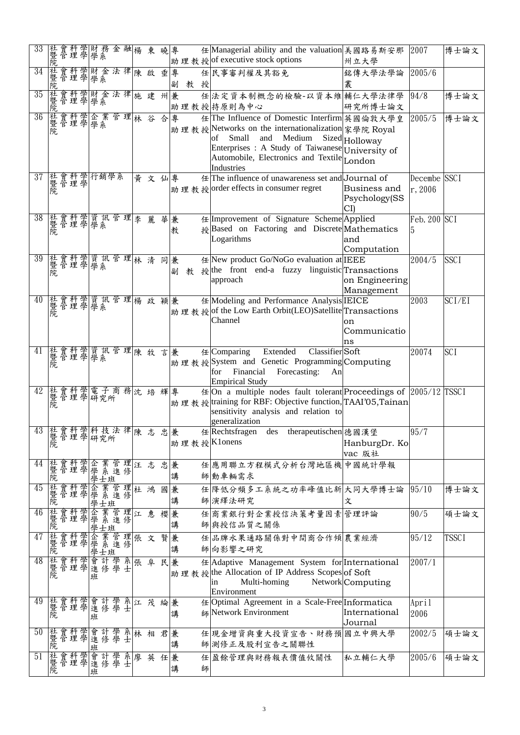| 33                          | 社暨院 |    |              |     | 曾科学財務<br>管理學學系     |    | 金融 | 楊  | 東                                | 曉  | 專      |    |   | 任 Managerial ability and the valuation   美國路易斯安那<br>助理教授 of executive stock options                                                                                                                                                          | 州立大學                          | 2007                    | 博士論文         |
|-----------------------------|-----|----|--------------|-----|--------------------|----|----|----|----------------------------------|----|--------|----|---|----------------------------------------------------------------------------------------------------------------------------------------------------------------------------------------------------------------------------------------------|-------------------------------|-------------------------|--------------|
| 34                          | 社暨院 |    |              |     |                    |    |    |    | 會科學財金法律陳啟垂                       |    | 專<br>副 | 教授 |   | 任民事審判權及其豁免                                                                                                                                                                                                                                   | 銘傳大學法學論<br>叢                  | 2005/6                  |              |
| 35                          | 社暨院 |    |              |     | 會科學財金法律<br>管理學學系   |    |    |    | 施建州兼                             |    |        |    |   | 任法定資本制概念的檢驗-以資本維輔仁大學法律學<br>助理教授持原則為中心                                                                                                                                                                                                        | 研究所博士論文                       | 94/8                    | 博士論文         |
| 36                          | 社暨院 |    |              |     |                    |    |    |    | 會科學企業管理林谷                        | 合  | 專      |    |   | 任 The Influence of Domestic Interfirm 英國倫敦大學皇<br>助理教授Networks on the internationalization 家學院 Royal<br>Small and Medium<br>οf<br>Enterprises: A Study of Taiwanese University of<br>Automobile, Electronics and Textile London<br>Industries | Sized Holloway                | 2005/5                  | 博士論文         |
| 37                          | 社暨院 |    |              |     | 會科學行銷學系<br>管理學     |    |    | 黄  | 文仙                               |    | 專      |    |   | 任 The influence of unawareness set and Journal of<br>助理教授 order effects in consumer regret                                                                                                                                                   | Business and<br>Psychology(SS | Decembe SSCI<br>r, 2006 |              |
| 38                          | 社暨院 |    |              |     | 會科學資訊管理<br>管理學學系   |    |    | 李  | 麗                                | 華  | 兼<br>教 |    |   | 任 Improvement of Signature Scheme Applied<br>授Based on Factoring and Discrete Mathematics<br>Logarithms                                                                                                                                      | and<br>Computation            | Feb. $200$ SCI          |              |
| 39                          | 社暨院 |    |              |     | 會科學資訊管理<br>管理學學系   |    |    | 林清 |                                  | 同兼 | 副<br>教 |    |   | 任 New product Go/NoGo evaluation at IEEE<br>援 the front end-a fuzzy linguistic Transactions<br>approach                                                                                                                                      | on Engineering<br>Management  | 2004/5                  | <b>SSCI</b>  |
| 40                          | 社暨院 |    | 會科學<br>管理學   |     | 資訊管理               |    |    | 楊  | 政穎兼                              |    |        |    |   | 任 Modeling and Performance Analysis IEICE<br>助理教授 of the Low Earth Orbit(LEO)Satellite Transactions<br>Channel                                                                                                                               | on<br>Communicatio<br>ns      | 2003                    | SCI/EI       |
| 41                          | 社暨院 |    |              |     |                    |    |    |    | 會科學資訊管理 <mark>陳牧</mark><br>管理學學系 | 言  | 兼      |    |   | Classifier Soft<br>E[Comparing]<br>Extended<br>助理教授System and Genetic Programming Computing<br>Financial<br>Forecasting:<br>for<br>An<br><b>Empirical Study</b>                                                                              |                               | 20074                   | <b>SCI</b>   |
| 42                          | 社暨院 |    |              |     |                    |    |    |    | 會科學電子商務沈培輝專                      |    |        |    |   | $\#$ On a multiple nodes fault tolerant Proceedings of 2005/12 TSSCI<br>助理教授 training for RBF: Objective function, TAAI'05, Tainan<br>sensitivity analysis and relation to<br>generalization                                                 |                               |                         |              |
| 43 社會科學科技法律<br>暨管理學研究所<br>院 |     |    |              |     |                    |    |    |    | 陳志                               | 忠  | 兼      |    |   | des therapeutischen 德國漢堡<br>$E$ Rechtsfragen<br>助理教授Klonens                                                                                                                                                                                  | HanburgDr. Ko<br>vac 版社       | 95/7                    |              |
| 44                          | 社暨院 | 貿官 | 科學學學<br>理學學學 |     | 業系」                |    |    |    | 管理汪志忠兼                           |    | 講      |    |   | 任 應用聯立方程模式分析台灣地區機 中國統計學報<br>師動車輛需求                                                                                                                                                                                                           |                               |                         |              |
| 45                          | 社暨院 |    | 會科學          | 企學  |                    | 管進 |    |    | 理杜鴻                              | 國兼 | 講      |    |   | 任 降低分頻多工系統之功率峰值比新 大同大學博士論<br>師演繹法研究                                                                                                                                                                                                          | 文                             | 95/10                   | 博士論文         |
| 46                          | 社暨院 |    | 會科學          | 企學  | 業系                 | 管進 |    | 理江 | 惠                                | 櫻兼 | 講      |    |   | 任商業銀行對企業授信決策考量因素管理評論<br>師與授信品質之關係                                                                                                                                                                                                            |                               | 90/5                    | 碩士論文         |
| 47                          | 社暨院 |    | 會科學          | 企學學 | 業系<br>大班<br>士班     | 管進 |    |    | 理張 文                             | 賢  | 兼<br>講 |    |   | 任品牌水果通路關係對中間商合作傾農業經濟<br>師向影響之研究                                                                                                                                                                                                              |                               | 95/12                   | <b>TSSCI</b> |
| 48 社暨院                      |     |    |              | 班   | 會科學會計學<br>管理學進修學   |    |    |    | 系張阜                              | 民兼 |        |    |   | 任 Adaptive Management System for International<br>助理教授 the Allocation of IP Address Scopes of Soft<br>Multi-homing<br>1n<br>Environment                                                                                                      | Network Computing             | 2007/1                  |              |
| 49                          | 社暨院 |    |              | 班   | 會科學會計學系江           |    |    |    | 茂                                | 綸  | 兼<br>講 |    |   | 任 Optimal Agreement in a Scale-Free Informatica<br>師 Network Environment                                                                                                                                                                     | International                 | April<br>2006           |              |
| 50                          | 社暨院 |    |              | 班   |                    |    |    |    | 曾科學會計學系林相<br>管理學進修學士             | 君兼 | 講      |    |   | 任 現金增資與重大投資宣告、財務預 國立中興大學<br>師測修正及股利宣告之關聯性                                                                                                                                                                                                    | Journal                       | 2002/5                  | 碩士論文         |
| 51                          | 社暨院 |    |              | 班   | 會科學會計學系<br>管理學進修學士 |    |    | 廖  | 英                                | 任  | 兼<br>講 |    | 師 | 任盈餘管理與財務報表價值攸關性                                                                                                                                                                                                                              | 私立輔仁大學                        | 2005/6                  | 碩士論文         |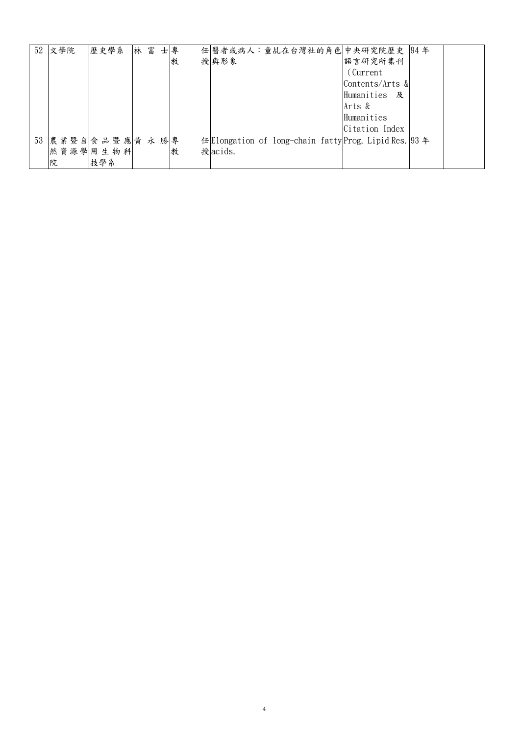| $52$ 文學院 | 歷史學系<br>林富      | 士專           | 任 醫者或病人:童乩在台灣社的角色 中央研究院歷史  94年                         |
|----------|-----------------|--------------|--------------------------------------------------------|
|          |                 | 授與形象<br>教    | 語言研究所集刊                                                |
|          |                 |              | (Current)                                              |
|          |                 |              | Contents/Arts &                                        |
|          |                 |              | Humanities 及                                           |
|          |                 |              | Arts &                                                 |
|          |                 |              | Humanities                                             |
|          |                 |              | Citation Index                                         |
|          | 53 農業暨自食品暨應黃永勝專 |              | 任 Elongation of long-chain fatty Prog. Lipid Res. 93 年 |
|          | 然資源學用生物科        | 授acids.<br>教 |                                                        |
| 院        | 技學系             |              |                                                        |